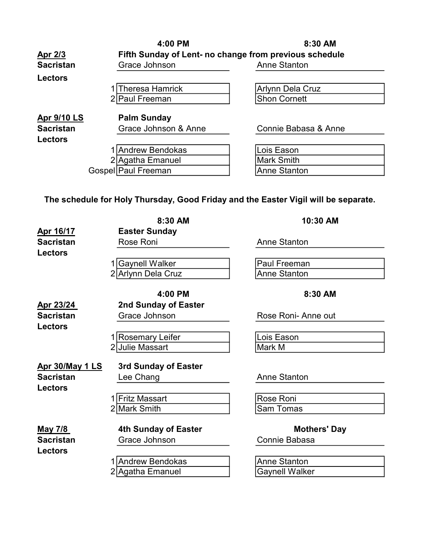|                    | 4:00 PM                                                | 8:30 AM                 |  |
|--------------------|--------------------------------------------------------|-------------------------|--|
| <u>Apr 2/3</u>     | Fifth Sunday of Lent- no change from previous schedule |                         |  |
| <b>Sacristan</b>   | Grace Johnson                                          | <b>Anne Stanton</b>     |  |
| <b>Lectors</b>     |                                                        |                         |  |
|                    | <b>Theresa Hamrick</b>                                 | <b>Arlynn Dela Cruz</b> |  |
|                    | 2 Paul Freeman                                         | <b>Shon Cornett</b>     |  |
| <b>Apr 9/10 LS</b> | <b>Palm Sunday</b>                                     |                         |  |
| <b>Sacristan</b>   | Grace Johnson & Anne                                   | Connie Babasa & Anne    |  |
| <b>Lectors</b>     |                                                        |                         |  |
|                    | Andrew Bendokas                                        | Lois Eason              |  |
|                    | 2 Agatha Emanuel                                       | <b>Mark Smith</b>       |  |
|                    | Gospel Paul Freeman                                    | <b>Anne Stanton</b>     |  |

The schedule for Holy Thursday, Good Friday and the Easter Vigil will be separate.

|                        | 8:30 AM                     | 10:30 AM              |
|------------------------|-----------------------------|-----------------------|
| Apr 16/17              | <b>Easter Sunday</b>        |                       |
| <b>Sacristan</b>       | Rose Roni                   | <b>Anne Stanton</b>   |
| <b>Lectors</b>         |                             |                       |
|                        | 1 Gaynell Walker            | <b>Paul Freeman</b>   |
|                        | 2 Arlynn Dela Cruz          | <b>Anne Stanton</b>   |
|                        |                             |                       |
|                        | 4:00 PM                     | 8:30 AM               |
| Apr 23/24              | 2nd Sunday of Easter        |                       |
| <b>Sacristan</b>       | Grace Johnson               | Rose Roni-Anne out    |
| <b>Lectors</b>         |                             |                       |
|                        | 1 Rosemary Leifer           | Lois Eason            |
|                        | 2 Julie Massart             | Mark M                |
|                        |                             |                       |
| <b>Apr 30/May 1 LS</b> | 3rd Sunday of Easter        |                       |
| <b>Sacristan</b>       | Lee Chang                   | <b>Anne Stanton</b>   |
| <b>Lectors</b>         |                             |                       |
|                        | 1 Fritz Massart             | <b>Rose Roni</b>      |
|                        | 2 Mark Smith                | Sam Tomas             |
|                        |                             |                       |
| <u>May 7/8</u>         | <b>4th Sunday of Easter</b> | <b>Mothers' Day</b>   |
| <b>Sacristan</b>       | Grace Johnson               | Connie Babasa         |
| <b>Lectors</b>         |                             |                       |
|                        | 1 Andrew Bendokas           | <b>Anne Stanton</b>   |
|                        | 2 Agatha Emanuel            | <b>Gaynell Walker</b> |